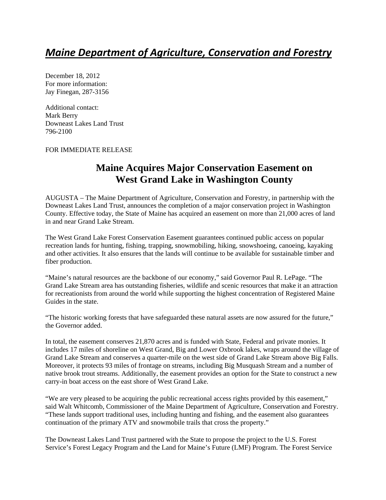# *Maine Department of Agriculture, Conservation and Forestry*

December 18, 2012 For more information: Jay Finegan, 287-3156

Additional contact: Mark Berry Downeast Lakes Land Trust 796-2100

### FOR IMMEDIATE RELEASE

## **Maine Acquires Major Conservation Easement on West Grand Lake in Washington County**

AUGUSTA – The Maine Department of Agriculture, Conservation and Forestry, in partnership with the Downeast Lakes Land Trust, announces the completion of a major conservation project in Washington County. Effective today, the State of Maine has acquired an easement on more than 21,000 acres of land in and near Grand Lake Stream.

The West Grand Lake Forest Conservation Easement guarantees continued public access on popular recreation lands for hunting, fishing, trapping, snowmobiling, hiking, snowshoeing, canoeing, kayaking and other activities. It also ensures that the lands will continue to be available for sustainable timber and fiber production.

"Maine's natural resources are the backbone of our economy," said Governor Paul R. LePage. "The Grand Lake Stream area has outstanding fisheries, wildlife and scenic resources that make it an attraction for recreationists from around the world while supporting the highest concentration of Registered Maine Guides in the state.

"The historic working forests that have safeguarded these natural assets are now assured for the future," the Governor added.

In total, the easement conserves 21,870 acres and is funded with State, Federal and private monies. It includes 17 miles of shoreline on West Grand, Big and Lower Oxbrook lakes, wraps around the village of Grand Lake Stream and conserves a quarter-mile on the west side of Grand Lake Stream above Big Falls. Moreover, it protects 93 miles of frontage on streams, including Big Musquash Stream and a number of native brook trout streams. Additionally, the easement provides an option for the State to construct a new carry-in boat access on the east shore of West Grand Lake.

"We are very pleased to be acquiring the public recreational access rights provided by this easement," said Walt Whitcomb, Commissioner of the Maine Department of Agriculture, Conservation and Forestry. "These lands support traditional uses, including hunting and fishing, and the easement also guarantees continuation of the primary ATV and snowmobile trails that cross the property."

The Downeast Lakes Land Trust partnered with the State to propose the project to the U.S. Forest Service's Forest Legacy Program and the Land for Maine's Future (LMF) Program. The Forest Service